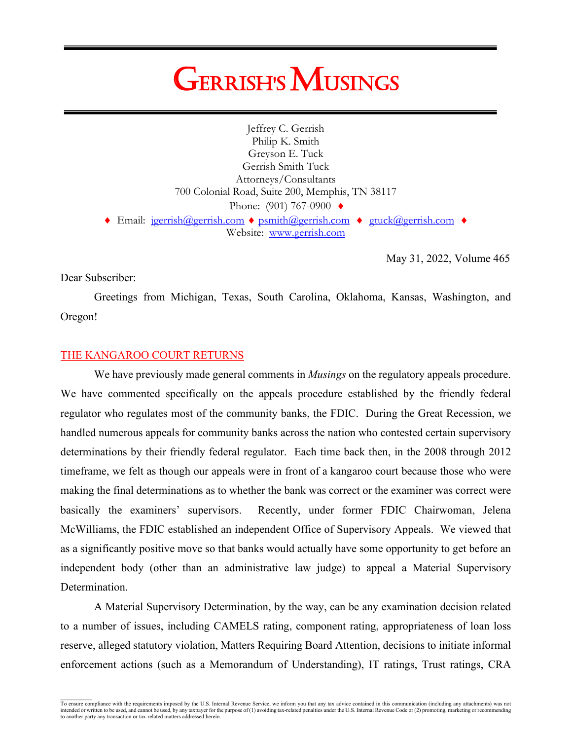# **GERRISH'S MUSINGS**

Jeffrey C. Gerrish Philip K. Smith Greyson E. Tuck Gerrish Smith Tuck Attorneys/Consultants 700 Colonial Road, Suite 200, Memphis, TN 38117 Phone: (901) 767-0900 ♦  $\triangle$  Email: jgerrish@gerrish.com  $\triangle$  [psmith@gerrish.com](mailto:psmith@gerrish.com)  $\triangle$  [gtuck@gerrish.com](mailto:gtuck@gerrish.com)  $\triangle$ Website: www.gerrish.com

May 31, 2022, Volume 465

Dear Subscriber:

Greetings from Michigan, Texas, South Carolina, Oklahoma, Kansas, Washington, and Oregon!

# THE KANGAROO COURT RETURNS

We have previously made general comments in *Musings* on the regulatory appeals procedure. We have commented specifically on the appeals procedure established by the friendly federal regulator who regulates most of the community banks, the FDIC. During the Great Recession, we handled numerous appeals for community banks across the nation who contested certain supervisory determinations by their friendly federal regulator. Each time back then, in the 2008 through 2012 timeframe, we felt as though our appeals were in front of a kangaroo court because those who were making the final determinations as to whether the bank was correct or the examiner was correct were basically the examiners' supervisors. Recently, under former FDIC Chairwoman, Jelena McWilliams, the FDIC established an independent Office of Supervisory Appeals. We viewed that as a significantly positive move so that banks would actually have some opportunity to get before an independent body (other than an administrative law judge) to appeal a Material Supervisory Determination.

A Material Supervisory Determination, by the way, can be any examination decision related to a number of issues, including CAMELS rating, component rating, appropriateness of loan loss reserve, alleged statutory violation, Matters Requiring Board Attention, decisions to initiate informal enforcement actions (such as a Memorandum of Understanding), IT ratings, Trust ratings, CRA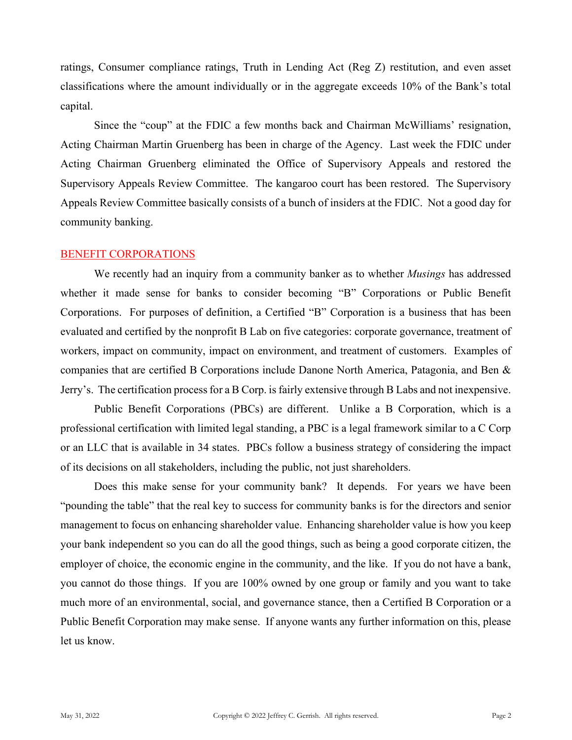ratings, Consumer compliance ratings, Truth in Lending Act (Reg Z) restitution, and even asset classifications where the amount individually or in the aggregate exceeds 10% of the Bank's total capital.

Since the "coup" at the FDIC a few months back and Chairman McWilliams' resignation, Acting Chairman Martin Gruenberg has been in charge of the Agency. Last week the FDIC under Acting Chairman Gruenberg eliminated the Office of Supervisory Appeals and restored the Supervisory Appeals Review Committee. The kangaroo court has been restored. The Supervisory Appeals Review Committee basically consists of a bunch of insiders at the FDIC. Not a good day for community banking.

#### BENEFIT CORPORATIONS

We recently had an inquiry from a community banker as to whether *Musings* has addressed whether it made sense for banks to consider becoming "B" Corporations or Public Benefit Corporations. For purposes of definition, a Certified "B" Corporation is a business that has been evaluated and certified by the nonprofit B Lab on five categories: corporate governance, treatment of workers, impact on community, impact on environment, and treatment of customers. Examples of companies that are certified B Corporations include Danone North America, Patagonia, and Ben & Jerry's. The certification process for a B Corp. is fairly extensive through B Labs and not inexpensive.

Public Benefit Corporations (PBCs) are different. Unlike a B Corporation, which is a professional certification with limited legal standing, a PBC is a legal framework similar to a C Corp or an LLC that is available in 34 states. PBCs follow a business strategy of considering the impact of its decisions on all stakeholders, including the public, not just shareholders.

Does this make sense for your community bank? It depends. For years we have been "pounding the table" that the real key to success for community banks is for the directors and senior management to focus on enhancing shareholder value. Enhancing shareholder value is how you keep your bank independent so you can do all the good things, such as being a good corporate citizen, the employer of choice, the economic engine in the community, and the like. If you do not have a bank, you cannot do those things. If you are 100% owned by one group or family and you want to take much more of an environmental, social, and governance stance, then a Certified B Corporation or a Public Benefit Corporation may make sense. If anyone wants any further information on this, please let us know.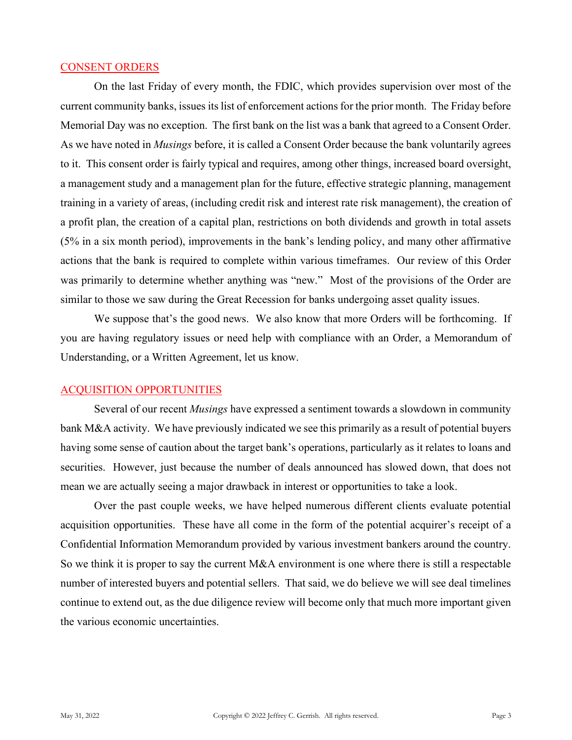#### CONSENT ORDERS

On the last Friday of every month, the FDIC, which provides supervision over most of the current community banks, issues its list of enforcement actions for the prior month. The Friday before Memorial Day was no exception. The first bank on the list was a bank that agreed to a Consent Order. As we have noted in *Musings* before, it is called a Consent Order because the bank voluntarily agrees to it. This consent order is fairly typical and requires, among other things, increased board oversight, a management study and a management plan for the future, effective strategic planning, management training in a variety of areas, (including credit risk and interest rate risk management), the creation of a profit plan, the creation of a capital plan, restrictions on both dividends and growth in total assets (5% in a six month period), improvements in the bank's lending policy, and many other affirmative actions that the bank is required to complete within various timeframes. Our review of this Order was primarily to determine whether anything was "new." Most of the provisions of the Order are similar to those we saw during the Great Recession for banks undergoing asset quality issues.

We suppose that's the good news. We also know that more Orders will be forthcoming. If you are having regulatory issues or need help with compliance with an Order, a Memorandum of Understanding, or a Written Agreement, let us know.

#### ACQUISITION OPPORTUNITIES

Several of our recent *Musings* have expressed a sentiment towards a slowdown in community bank M&A activity. We have previously indicated we see this primarily as a result of potential buyers having some sense of caution about the target bank's operations, particularly as it relates to loans and securities. However, just because the number of deals announced has slowed down, that does not mean we are actually seeing a major drawback in interest or opportunities to take a look.

Over the past couple weeks, we have helped numerous different clients evaluate potential acquisition opportunities. These have all come in the form of the potential acquirer's receipt of a Confidential Information Memorandum provided by various investment bankers around the country. So we think it is proper to say the current M&A environment is one where there is still a respectable number of interested buyers and potential sellers. That said, we do believe we will see deal timelines continue to extend out, as the due diligence review will become only that much more important given the various economic uncertainties.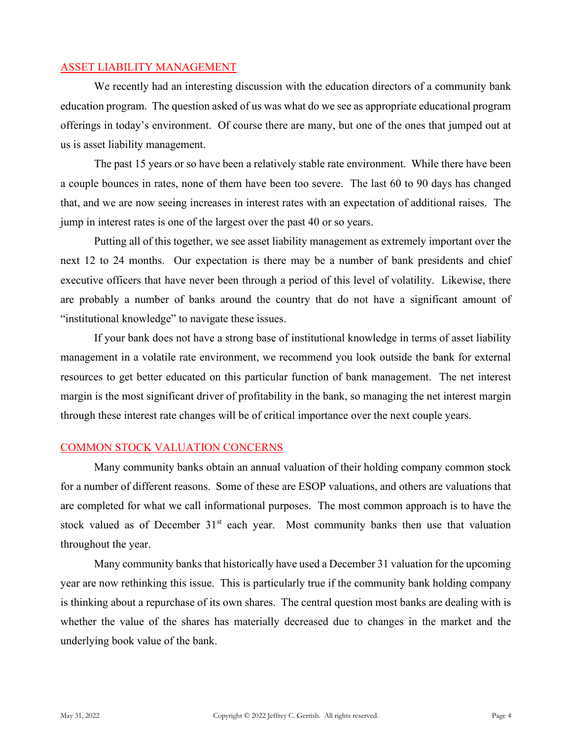### ASSET LIABILITY MANAGEMENT

We recently had an interesting discussion with the education directors of a community bank education program. The question asked of us was what do we see as appropriate educational program offerings in today's environment. Of course there are many, but one of the ones that jumped out at us is asset liability management.

The past 15 years or so have been a relatively stable rate environment. While there have been a couple bounces in rates, none of them have been too severe. The last 60 to 90 days has changed that, and we are now seeing increases in interest rates with an expectation of additional raises. The jump in interest rates is one of the largest over the past 40 or so years.

Putting all of this together, we see asset liability management as extremely important over the next 12 to 24 months. Our expectation is there may be a number of bank presidents and chief executive officers that have never been through a period of this level of volatility. Likewise, there are probably a number of banks around the country that do not have a significant amount of "institutional knowledge" to navigate these issues.

If your bank does not have a strong base of institutional knowledge in terms of asset liability management in a volatile rate environment, we recommend you look outside the bank for external resources to get better educated on this particular function of bank management. The net interest margin is the most significant driver of profitability in the bank, so managing the net interest margin through these interest rate changes will be of critical importance over the next couple years.

# COMMON STOCK VALUATION CONCERNS

Many community banks obtain an annual valuation of their holding company common stock for a number of different reasons. Some of these are ESOP valuations, and others are valuations that are completed for what we call informational purposes. The most common approach is to have the stock valued as of December  $31<sup>st</sup>$  each year. Most community banks then use that valuation throughout the year.

Many community banks that historically have used a December 31 valuation for the upcoming year are now rethinking this issue. This is particularly true if the community bank holding company is thinking about a repurchase of its own shares. The central question most banks are dealing with is whether the value of the shares has materially decreased due to changes in the market and the underlying book value of the bank.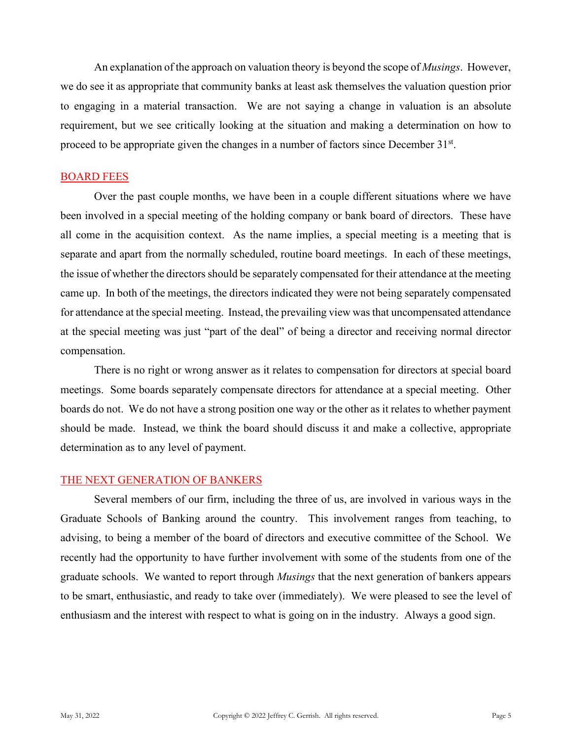An explanation of the approach on valuation theory is beyond the scope of *Musings*. However, we do see it as appropriate that community banks at least ask themselves the valuation question prior to engaging in a material transaction. We are not saying a change in valuation is an absolute requirement, but we see critically looking at the situation and making a determination on how to proceed to be appropriate given the changes in a number of factors since December 31<sup>st</sup>.

### BOARD FEES

Over the past couple months, we have been in a couple different situations where we have been involved in a special meeting of the holding company or bank board of directors. These have all come in the acquisition context. As the name implies, a special meeting is a meeting that is separate and apart from the normally scheduled, routine board meetings. In each of these meetings, the issue of whether the directors should be separately compensated for their attendance at the meeting came up. In both of the meetings, the directors indicated they were not being separately compensated for attendance at the special meeting. Instead, the prevailing view was that uncompensated attendance at the special meeting was just "part of the deal" of being a director and receiving normal director compensation.

There is no right or wrong answer as it relates to compensation for directors at special board meetings. Some boards separately compensate directors for attendance at a special meeting. Other boards do not. We do not have a strong position one way or the other as it relates to whether payment should be made. Instead, we think the board should discuss it and make a collective, appropriate determination as to any level of payment.

#### THE NEXT GENERATION OF BANKERS

Several members of our firm, including the three of us, are involved in various ways in the Graduate Schools of Banking around the country. This involvement ranges from teaching, to advising, to being a member of the board of directors and executive committee of the School. We recently had the opportunity to have further involvement with some of the students from one of the graduate schools. We wanted to report through *Musings* that the next generation of bankers appears to be smart, enthusiastic, and ready to take over (immediately). We were pleased to see the level of enthusiasm and the interest with respect to what is going on in the industry. Always a good sign.